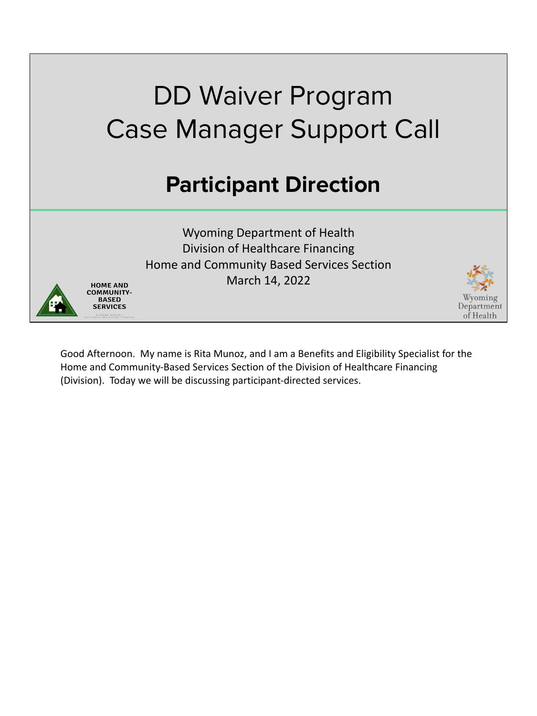

Good Afternoon. My name is Rita Munoz, and I am a Benefits and Eligibility Specialist for the Home and Community-Based Services Section of the Division of Healthcare Financing (Division). Today we will be discussing participant-directed services.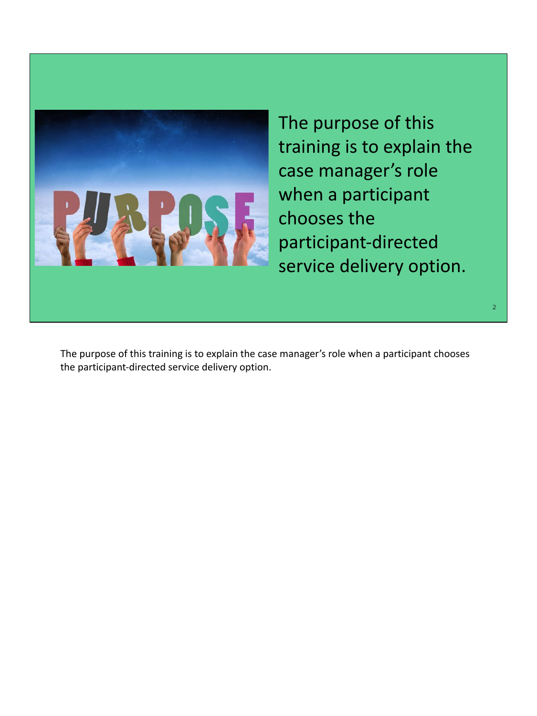

The purpose of this training is to explain the case manager's role when a participant chooses the participant-directed service delivery option.

The purpose of this training is to explain the case manager's role when a participant chooses the participant-directed service delivery option.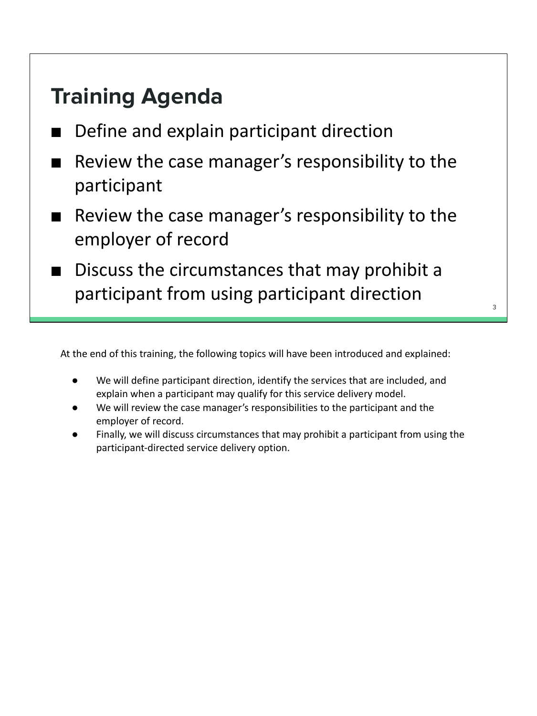#### **Training Agenda**

- Define and explain participant direction
- Review the case manager's responsibility to the participant
- Review the case manager's responsibility to the employer of record
- Discuss the circumstances that may prohibit a participant from using participant direction

At the end of this training, the following topics will have been introduced and explained:

- We will define participant direction, identify the services that are included, and explain when a participant may qualify for this service delivery model.
- We will review the case manager's responsibilities to the participant and the employer of record.
- Finally, we will discuss circumstances that may prohibit a participant from using the participant-directed service delivery option.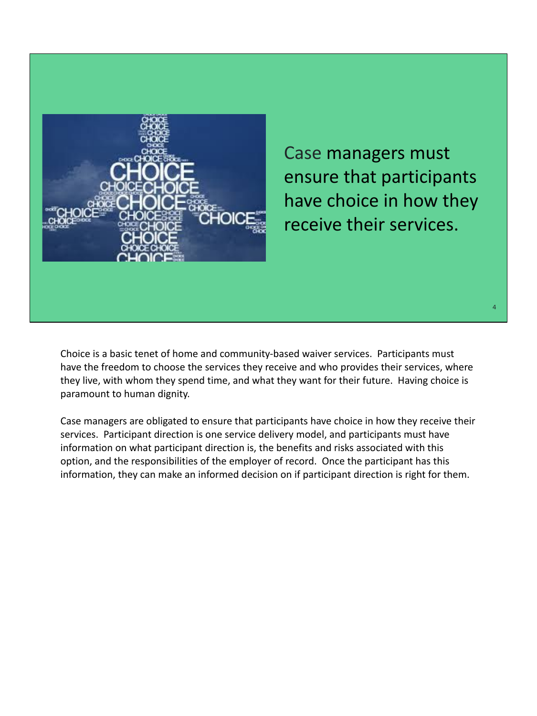

Case managers must ensure that participants have choice in how they receive their services.

Choice is a basic tenet of home and community-based waiver services. Participants must have the freedom to choose the services they receive and who provides their services, where they live, with whom they spend time, and what they want for their future. Having choice is paramount to human dignity.

Case managers are obligated to ensure that participants have choice in how they receive their services. Participant direction is one service delivery model, and participants must have information on what participant direction is, the benefits and risks associated with this option, and the responsibilities of the employer of record. Once the participant has this information, they can make an informed decision on if participant direction is right for them.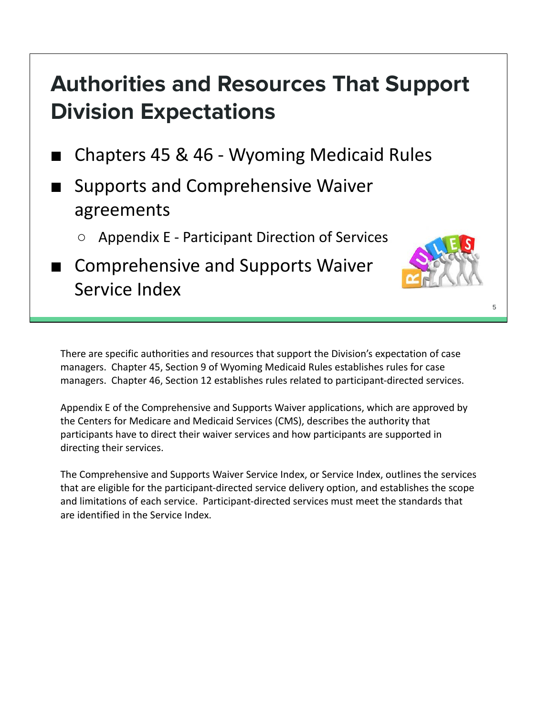#### **Authorities and Resources That Support Division Expectations**

- Chapters 45 & 46 Wyoming Medicaid Rules
- Supports and Comprehensive Waiver agreements
	- Appendix E Participant Direction of Services
- Comprehensive and Supports Waiver Service Index

There are specific authorities and resources that support the Division's expectation of case managers. Chapter 45, Section 9 of Wyoming Medicaid Rules establishes rules for case managers. Chapter 46, Section 12 establishes rules related to participant-directed services.

Appendix E of the Comprehensive and Supports Waiver applications, which are approved by the Centers for Medicare and Medicaid Services (CMS), describes the authority that participants have to direct their waiver services and how participants are supported in directing their services.

The Comprehensive and Supports Waiver Service Index, or Service Index, outlines the services that are eligible for the participant-directed service delivery option, and establishes the scope and limitations of each service. Participant-directed services must meet the standards that are identified in the Service Index.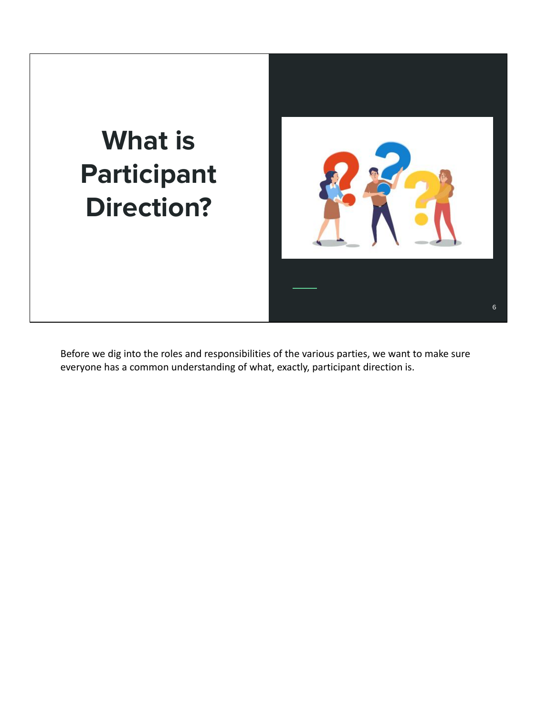## **What is Participant Direction?**



Before we dig into the roles and responsibilities of the various parties, we want to make sure everyone has a common understanding of what, exactly, participant direction is.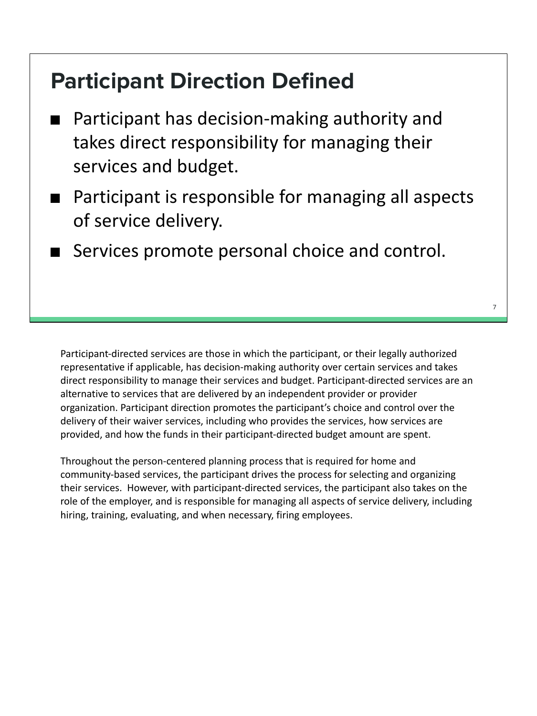#### **Participant Direction Defined**

- Participant has decision-making authority and takes direct responsibility for managing their services and budget.
- Participant is responsible for managing all aspects of service delivery.
- Services promote personal choice and control.

Participant-directed services are those in which the participant, or their legally authorized representative if applicable, has decision-making authority over certain services and takes direct responsibility to manage their services and budget. Participant-directed services are an alternative to services that are delivered by an independent provider or provider organization. Participant direction promotes the participant's choice and control over the delivery of their waiver services, including who provides the services, how services are provided, and how the funds in their participant-directed budget amount are spent.

Throughout the person-centered planning process that is required for home and community-based services, the participant drives the process for selecting and organizing their services. However, with participant-directed services, the participant also takes on the role of the employer, and is responsible for managing all aspects of service delivery, including hiring, training, evaluating, and when necessary, firing employees.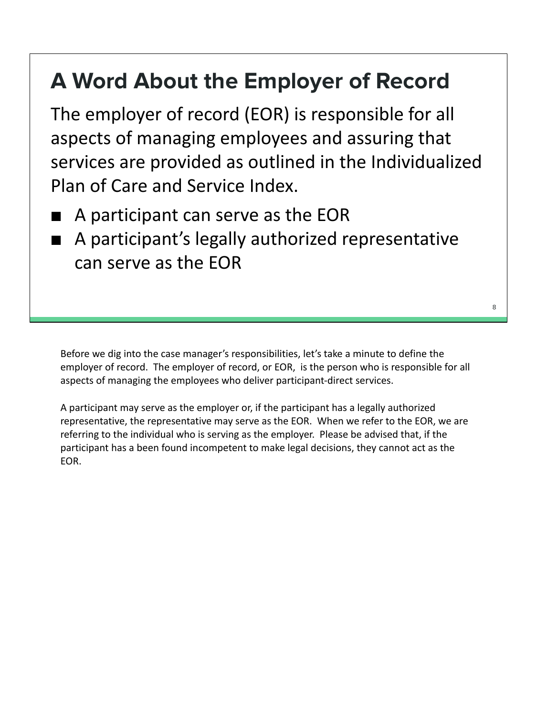#### **A Word About the Employer of Record**

The employer of record (EOR) is responsible for all aspects of managing employees and assuring that services are provided as outlined in the Individualized Plan of Care and Service Index.

- A participant can serve as the EOR
- A participant's legally authorized representative can serve as the EOR

Before we dig into the case manager's responsibilities, let's take a minute to define the employer of record. The employer of record, or EOR, is the person who is responsible for all aspects of managing the employees who deliver participant-direct services.

A participant may serve as the employer or, if the participant has a legally authorized representative, the representative may serve as the EOR. When we refer to the EOR, we are referring to the individual who is serving as the employer. Please be advised that, if the participant has a been found incompetent to make legal decisions, they cannot act as the EOR.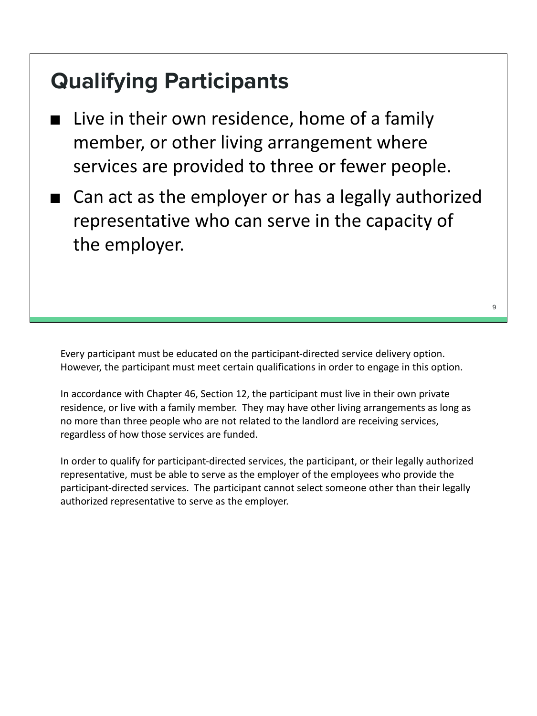#### **Qualifying Participants**

- Live in their own residence, home of a family member, or other living arrangement where services are provided to three or fewer people.
- Can act as the employer or has a legally authorized representative who can serve in the capacity of the employer.

Every participant must be educated on the participant-directed service delivery option. However, the participant must meet certain qualifications in order to engage in this option.

In accordance with Chapter 46, Section 12, the participant must live in their own private residence, or live with a family member. They may have other living arrangements as long as no more than three people who are not related to the landlord are receiving services, regardless of how those services are funded.

In order to qualify for participant-directed services, the participant, or their legally authorized representative, must be able to serve as the employer of the employees who provide the participant-directed services. The participant cannot select someone other than their legally authorized representative to serve as the employer.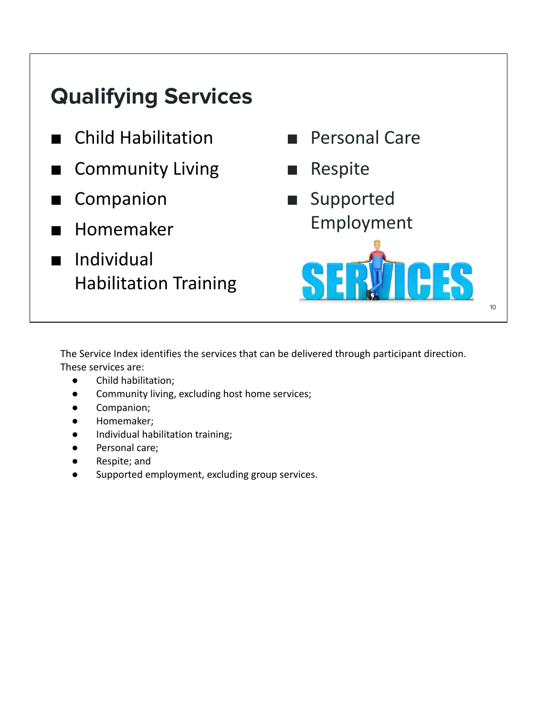#### **Qualifying Services**

- **Child Habilitation**
- **Community Living**
- Companion
- **Homemaker**
- **Individual** Habilitation Training



The Service Index identifies the services that can be delivered through participant direction.

These services are:

- Child habilitation;
- Community living, excluding host home services;
- Companion;
- Homemaker;
- Individual habilitation training;
- Personal care;
- Respite; and
- Supported employment, excluding group services.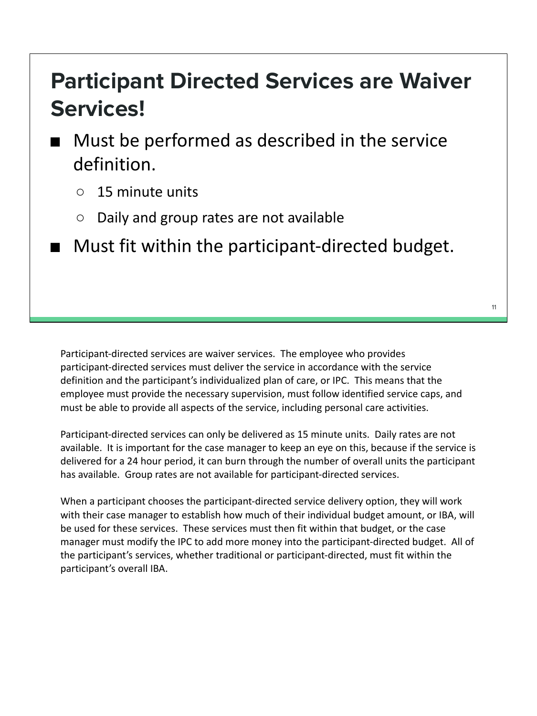#### **Participant Directed Services are Waiver Services!**

- Must be performed as described in the service definition.
	- 15 minute units
	- Daily and group rates are not available
- Must fit within the participant-directed budget.

Participant-directed services are waiver services. The employee who provides participant-directed services must deliver the service in accordance with the service definition and the participant's individualized plan of care, or IPC. This means that the employee must provide the necessary supervision, must follow identified service caps, and must be able to provide all aspects of the service, including personal care activities.

Participant-directed services can only be delivered as 15 minute units. Daily rates are not available. It is important for the case manager to keep an eye on this, because if the service is delivered for a 24 hour period, it can burn through the number of overall units the participant has available. Group rates are not available for participant-directed services.

When a participant chooses the participant-directed service delivery option, they will work with their case manager to establish how much of their individual budget amount, or IBA, will be used for these services. These services must then fit within that budget, or the case manager must modify the IPC to add more money into the participant-directed budget. All of the participant's services, whether traditional or participant-directed, must fit within the participant's overall IBA.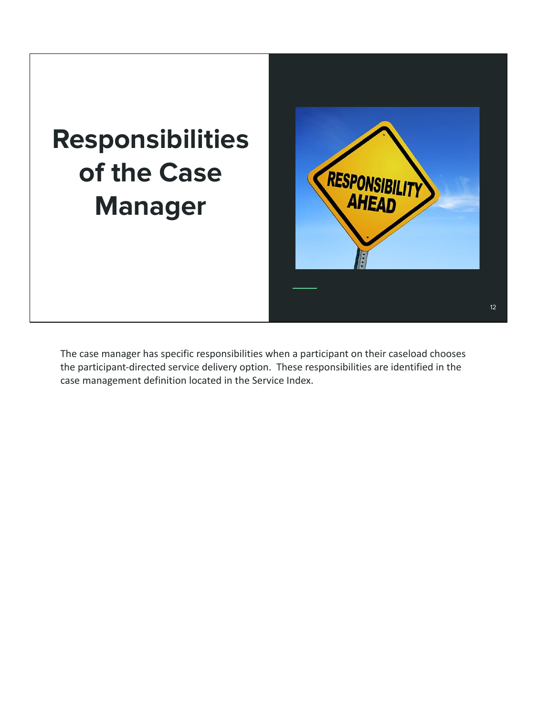## **Responsibilities of the Case Manager**



The case manager has specific responsibilities when a participant on their caseload chooses the participant-directed service delivery option. These responsibilities are identified in the case management definition located in the Service Index.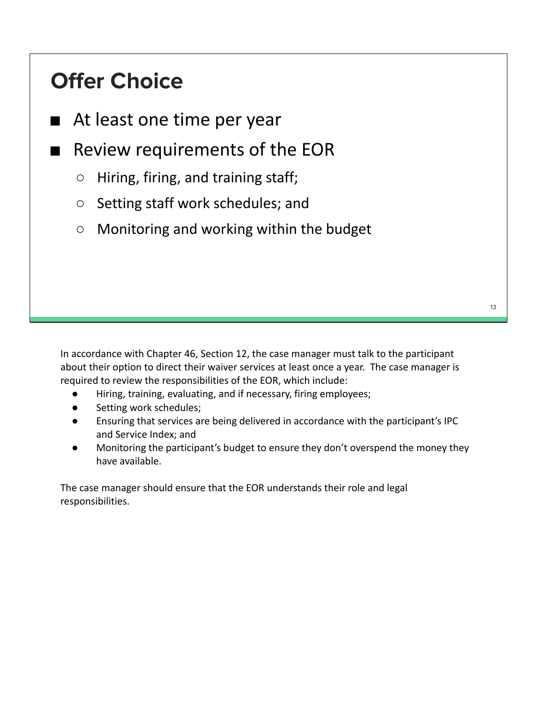#### **Offer Choice**

- At least one time per year
- Review requirements of the EOR
	- Hiring, firing, and training staff;
	- Setting staff work schedules; and
	- Monitoring and working within the budget

In accordance with Chapter 46, Section 12, the case manager must talk to the participant about their option to direct their waiver services at least once a year. The case manager is required to review the responsibilities of the EOR, which include:

- Hiring, training, evaluating, and if necessary, firing employees;
- Setting work schedules;
- Ensuring that services are being delivered in accordance with the participant's IPC and Service Index; and
- Monitoring the participant's budget to ensure they don't overspend the money they have available.

The case manager should ensure that the EOR understands their role and legal responsibilities.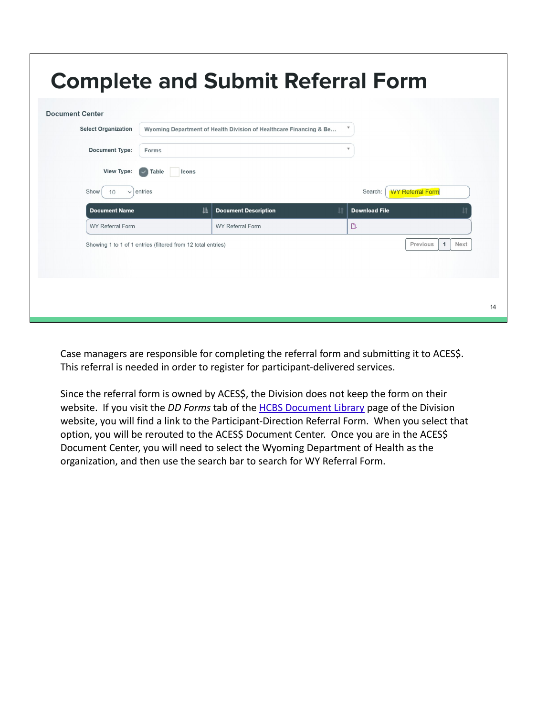| <b>WY Referral Form</b>          |
|----------------------------------|
|                                  |
|                                  |
| Previous<br>Next<br>$\mathbf{1}$ |
|                                  |
|                                  |

Case managers are responsible for completing the referral form and submitting it to ACES\$. This referral is needed in order to register for participant-delivered services.

Since the referral form is owned by ACES\$, the Division does not keep the form on their website. If you visit the *DD Forms* tab of the HCBS Document Library page of the Division website, you will find a link to the Participant-Direction Referral Form. When you select that option, you will be rerouted to the ACES\$ Document Center. Once you are in the ACES\$ Document Center, you will need to select the Wyoming Department of Health as the organization, and then use the search bar to search for WY Referral Form.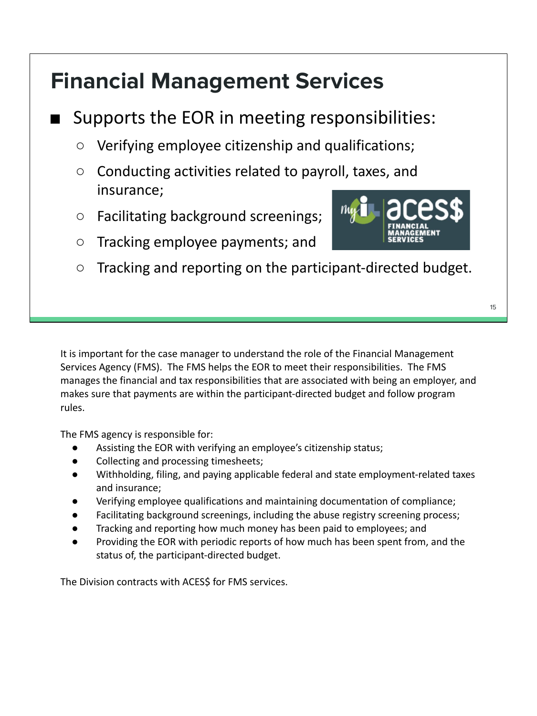#### **Financial Management Services**

#### Supports the EOR in meeting responsibilities:

- Verifying employee citizenship and qualifications;
- Conducting activities related to payroll, taxes, and insurance;
- Facilitating background screenings;
- Tracking employee payments; and
- Tracking and reporting on the participant-directed budget.

It is important for the case manager to understand the role of the Financial Management Services Agency (FMS). The FMS helps the EOR to meet their responsibilities. The FMS manages the financial and tax responsibilities that are associated with being an employer, and makes sure that payments are within the participant-directed budget and follow program rules.

The FMS agency is responsible for:

- Assisting the EOR with verifying an employee's citizenship status;
- Collecting and processing timesheets;
- Withholding, filing, and paying applicable federal and state employment-related taxes and insurance;
- Verifying employee qualifications and maintaining documentation of compliance;
- Facilitating background screenings, including the abuse registry screening process;
- Tracking and reporting how much money has been paid to employees; and
- Providing the EOR with periodic reports of how much has been spent from, and the status of, the participant-directed budget.

The Division contracts with ACES\$ for FMS services.

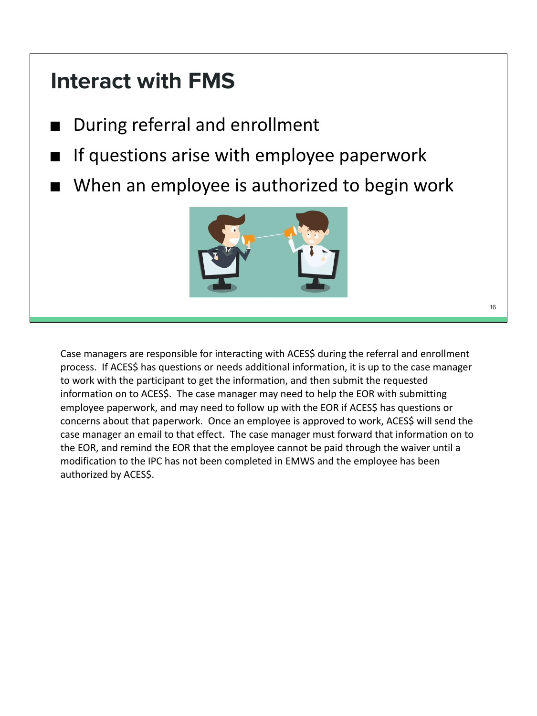#### **Interact with FMS**

- During referral and enrollment
- If questions arise with employee paperwork
- When an employee is authorized to begin work



16

Case managers are responsible for interacting with ACES\$ during the referral and enrollment process. If ACES\$ has questions or needs additional information, it is up to the case manager to work with the participant to get the information, and then submit the requested information on to ACES\$. The case manager may need to help the EOR with submitting employee paperwork, and may need to follow up with the EOR if ACES\$ has questions or concerns about that paperwork. Once an employee is approved to work, ACES\$ will send the case manager an email to that effect. The case manager must forward that information on to the EOR, and remind the EOR that the employee cannot be paid through the waiver until a modification to the IPC has not been completed in EMWS and the employee has been authorized by ACES\$.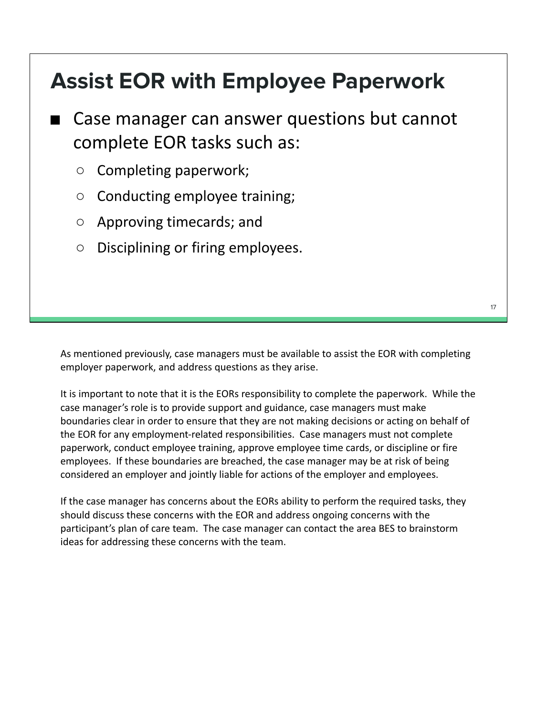#### **Assist EOR with Employee Paperwork**

■ Case manager can answer questions but cannot complete EOR tasks such as:

- Completing paperwork;
- Conducting employee training;
- Approving timecards; and
- Disciplining or firing employees.

As mentioned previously, case managers must be available to assist the EOR with completing employer paperwork, and address questions as they arise.

It is important to note that it is the EORs responsibility to complete the paperwork. While the case manager's role is to provide support and guidance, case managers must make boundaries clear in order to ensure that they are not making decisions or acting on behalf of the EOR for any employment-related responsibilities. Case managers must not complete paperwork, conduct employee training, approve employee time cards, or discipline or fire employees. If these boundaries are breached, the case manager may be at risk of being considered an employer and jointly liable for actions of the employer and employees.

If the case manager has concerns about the EORs ability to perform the required tasks, they should discuss these concerns with the EOR and address ongoing concerns with the participant's plan of care team. The case manager can contact the area BES to brainstorm ideas for addressing these concerns with the team.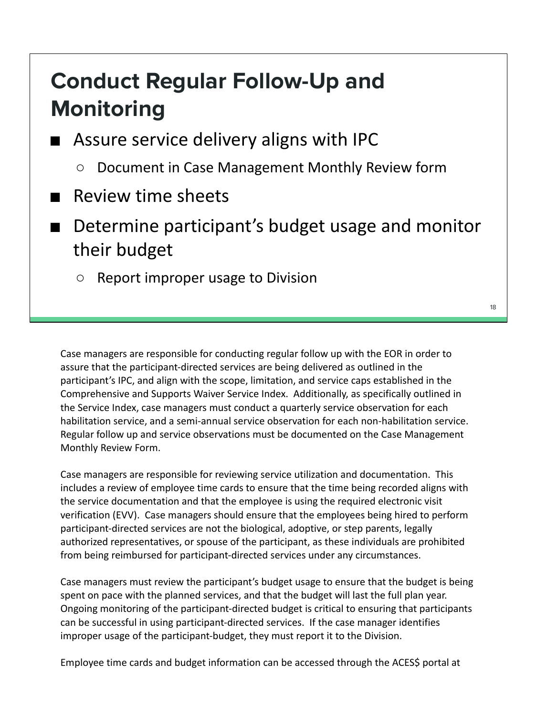#### **Conduct Regular Follow-Up and Monitoring**

- Assure service delivery aligns with IPC
	- Document in Case Management Monthly Review form
- Review time sheets
- Determine participant's budget usage and monitor their budget
	- Report improper usage to Division

Case managers are responsible for conducting regular follow up with the EOR in order to assure that the participant-directed services are being delivered as outlined in the participant's IPC, and align with the scope, limitation, and service caps established in the Comprehensive and Supports Waiver Service Index. Additionally, as specifically outlined in the Service Index, case managers must conduct a quarterly service observation for each habilitation service, and a semi-annual service observation for each non-habilitation service. Regular follow up and service observations must be documented on the Case Management Monthly Review Form.

Case managers are responsible for reviewing service utilization and documentation. This includes a review of employee time cards to ensure that the time being recorded aligns with the service documentation and that the employee is using the required electronic visit verification (EVV). Case managers should ensure that the employees being hired to perform participant-directed services are not the biological, adoptive, or step parents, legally authorized representatives, or spouse of the participant, as these individuals are prohibited from being reimbursed for participant-directed services under any circumstances.

Case managers must review the participant's budget usage to ensure that the budget is being spent on pace with the planned services, and that the budget will last the full plan year. Ongoing monitoring of the participant-directed budget is critical to ensuring that participants can be successful in using participant-directed services. If the case manager identifies improper usage of the participant-budget, they must report it to the Division.

Employee time cards and budget information can be accessed through the ACES\$ portal at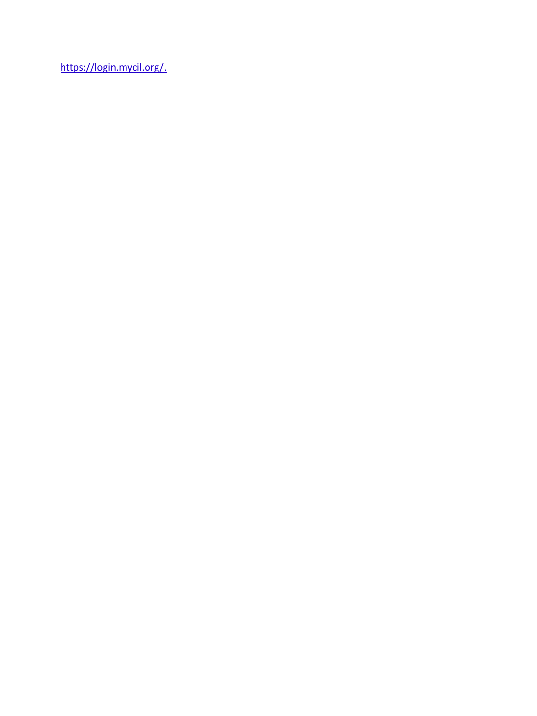https://login.mycil.org/.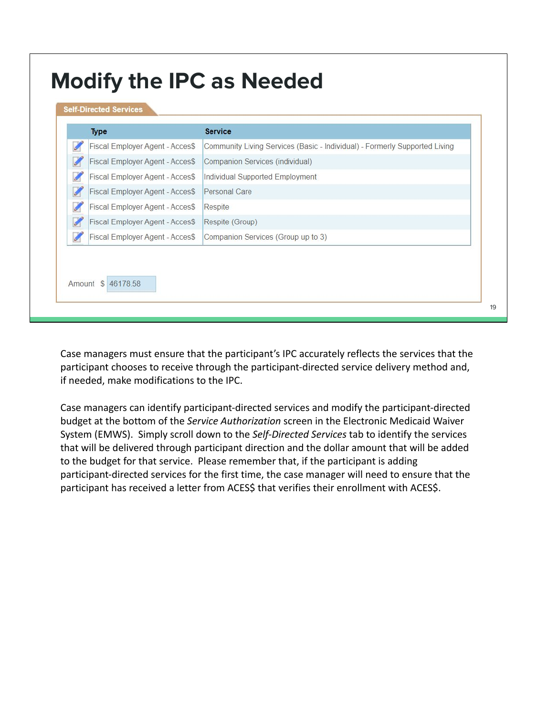| <b>Type</b>                     | <b>Service</b>                                                             |
|---------------------------------|----------------------------------------------------------------------------|
| Fiscal Employer Agent - Acces\$ | Community Living Services (Basic - Individual) - Formerly Supported Living |
| Fiscal Employer Agent - Acces\$ | Companion Services (individual)                                            |
| Fiscal Employer Agent - Acces\$ | Individual Supported Employment                                            |
| Fiscal Employer Agent - Acces\$ | Personal Care                                                              |
| Fiscal Employer Agent - Acces\$ | Respite                                                                    |
| Fiscal Employer Agent - Acces\$ | Respite (Group)                                                            |
| Fiscal Employer Agent - Acces\$ | Companion Services (Group up to 3)                                         |

Case managers must ensure that the participant's IPC accurately reflects the services that the participant chooses to receive through the participant-directed service delivery method and, if needed, make modifications to the IPC.

Case managers can identify participant-directed services and modify the participant-directed budget at the bottom of the *Service Authorization* screen in the Electronic Medicaid Waiver System (EMWS). Simply scroll down to the *Self-Directed Services* tab to identify the services that will be delivered through participant direction and the dollar amount that will be added to the budget for that service. Please remember that, if the participant is adding participant-directed services for the first time, the case manager will need to ensure that the participant has received a letter from ACES\$ that verifies their enrollment with ACES\$.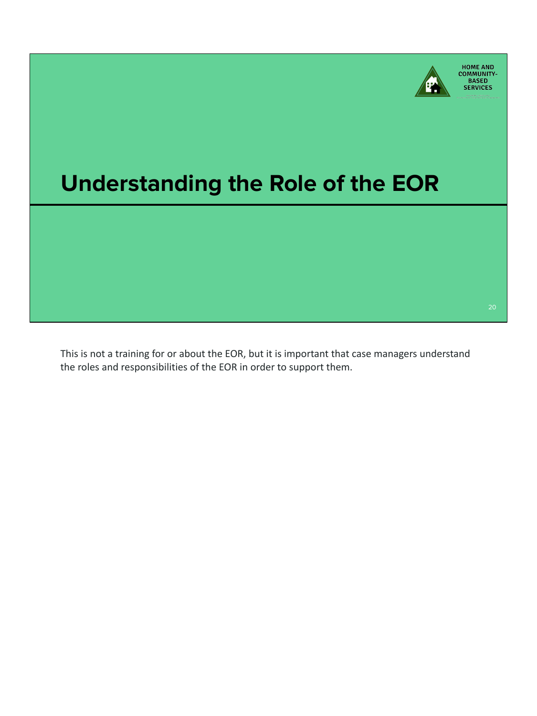

### **Understanding the Role of the EOR**

This is not a training for or about the EOR, but it is important that case managers understand the roles and responsibilities of the EOR in order to support them.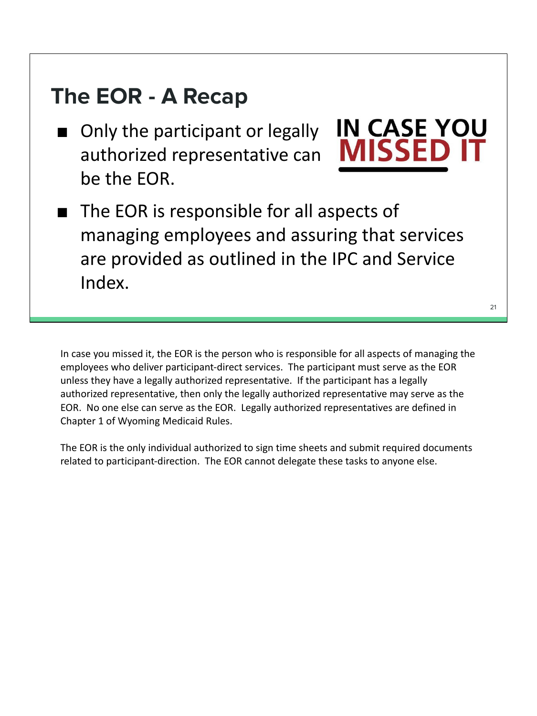#### **The EOR - A Recap**

■ Only the participant or legally authorized representative can be the EOR.



■ The EOR is responsible for all aspects of managing employees and assuring that services are provided as outlined in the IPC and Service Index.

In case you missed it, the EOR is the person who is responsible for all aspects of managing the employees who deliver participant-direct services. The participant must serve as the EOR unless they have a legally authorized representative. If the participant has a legally authorized representative, then only the legally authorized representative may serve as the EOR. No one else can serve as the EOR. Legally authorized representatives are defined in Chapter 1 of Wyoming Medicaid Rules.

The EOR is the only individual authorized to sign time sheets and submit required documents related to participant-direction. The EOR cannot delegate these tasks to anyone else.

21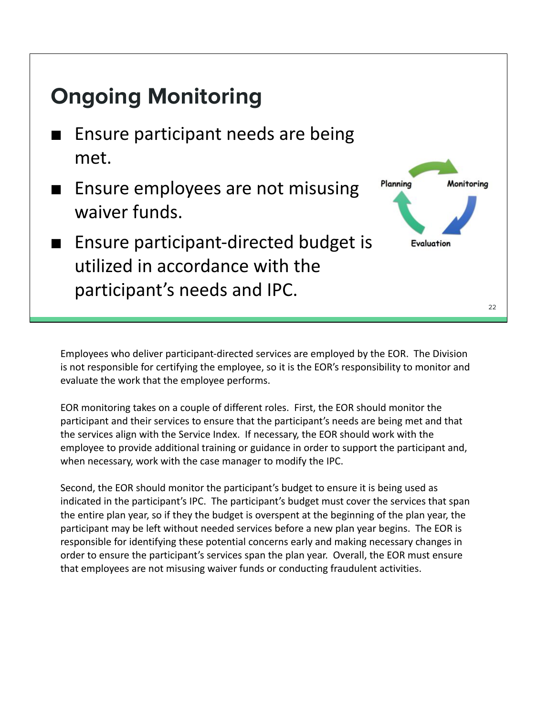

Employees who deliver participant-directed services are employed by the EOR. The Division is not responsible for certifying the employee, so it is the EOR's responsibility to monitor and evaluate the work that the employee performs.

EOR monitoring takes on a couple of different roles. First, the EOR should monitor the participant and their services to ensure that the participant's needs are being met and that the services align with the Service Index. If necessary, the EOR should work with the employee to provide additional training or guidance in order to support the participant and, when necessary, work with the case manager to modify the IPC.

Second, the EOR should monitor the participant's budget to ensure it is being used as indicated in the participant's IPC. The participant's budget must cover the services that span the entire plan year, so if they the budget is overspent at the beginning of the plan year, the participant may be left without needed services before a new plan year begins. The EOR is responsible for identifying these potential concerns early and making necessary changes in order to ensure the participant's services span the plan year. Overall, the EOR must ensure that employees are not misusing waiver funds or conducting fraudulent activities.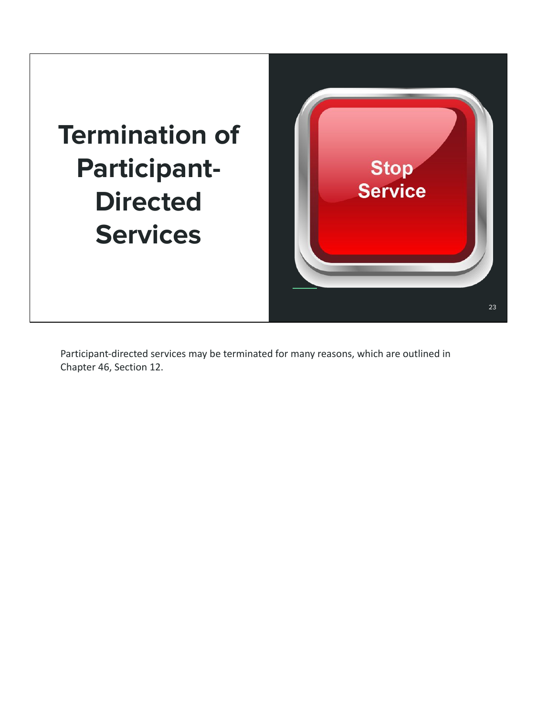## **Termination of Participant-Directed Services**



Participant-directed services may be terminated for many reasons, which are outlined in Chapter 46, Section 12.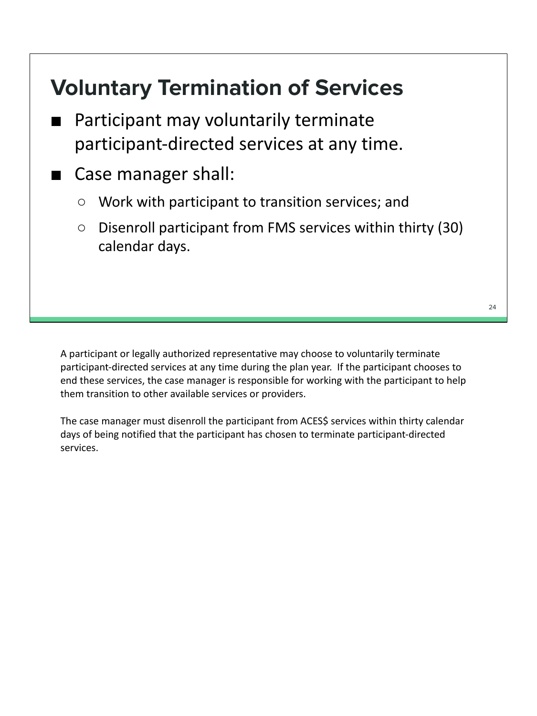#### **Voluntary Termination of Services**

- Participant may voluntarily terminate participant-directed services at any time.
- Case manager shall:
	- Work with participant to transition services; and
	- Disenroll participant from FMS services within thirty (30) calendar days.

A participant or legally authorized representative may choose to voluntarily terminate participant-directed services at any time during the plan year. If the participant chooses to end these services, the case manager is responsible for working with the participant to help them transition to other available services or providers.

The case manager must disenroll the participant from ACES\$ services within thirty calendar days of being notified that the participant has chosen to terminate participant-directed services.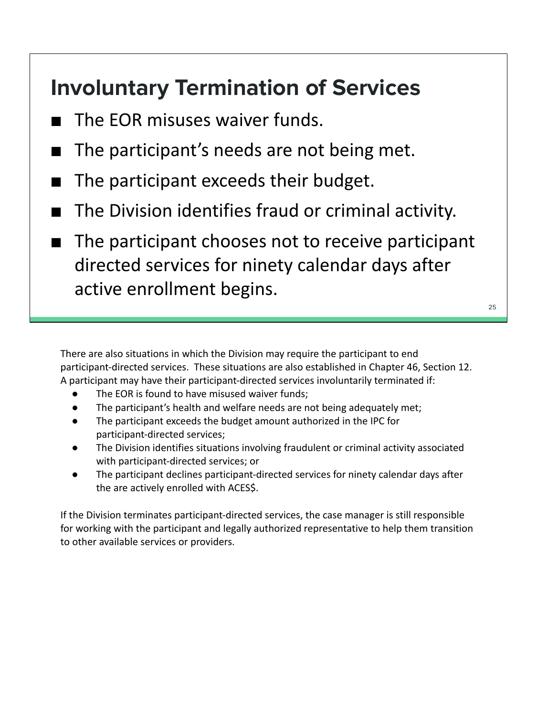#### **Involuntary Termination of Services**

- The EOR misuses waiver funds.
- The participant's needs are not being met.
- The participant exceeds their budget.
- The Division identifies fraud or criminal activity.
- The participant chooses not to receive participant directed services for ninety calendar days after active enrollment begins.

There are also situations in which the Division may require the participant to end participant-directed services. These situations are also established in Chapter 46, Section 12. A participant may have their participant-directed services involuntarily terminated if:

- The EOR is found to have misused waiver funds;
- The participant's health and welfare needs are not being adequately met;
- The participant exceeds the budget amount authorized in the IPC for participant-directed services;
- The Division identifies situations involving fraudulent or criminal activity associated with participant-directed services; or
- The participant declines participant-directed services for ninety calendar days after the are actively enrolled with ACES\$.

If the Division terminates participant-directed services, the case manager is still responsible for working with the participant and legally authorized representative to help them transition to other available services or providers.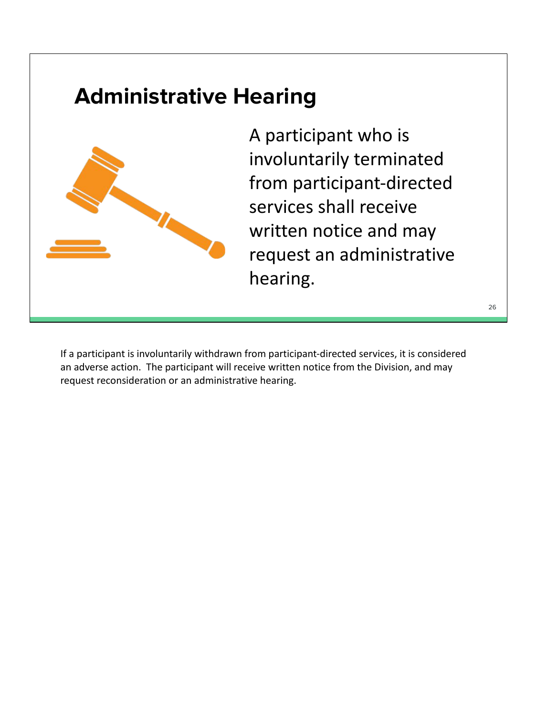#### **Administrative Hearing**



A participant who is involuntarily terminated from participant-directed services shall receive written notice and may request an administrative hearing.

If a participant is involuntarily withdrawn from participant-directed services, it is considered an adverse action. The participant will receive written notice from the Division, and may request reconsideration or an administrative hearing.

#### 26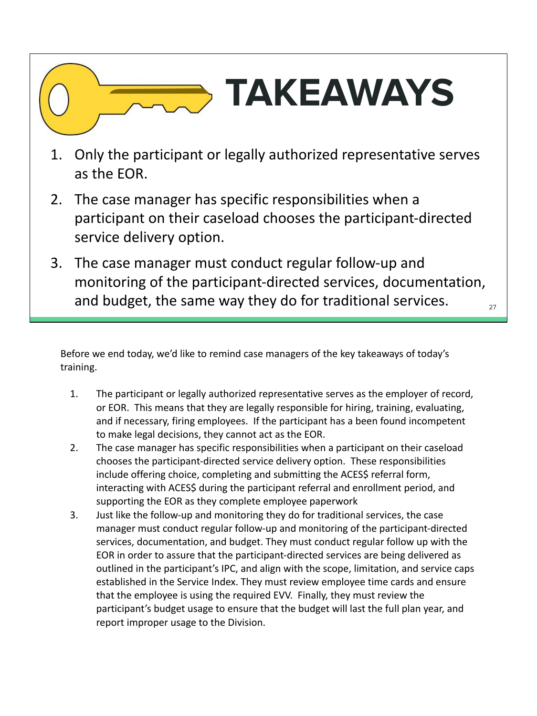# **TAKEAWAYS**

- 1. Only the participant or legally authorized representative serves as the EOR.
- 2. The case manager has specific responsibilities when a participant on their caseload chooses the participant-directed service delivery option.
- 3. The case manager must conduct regular follow-up and monitoring of the participant-directed services, documentation, and budget, the same way they do for traditional services.  $\frac{27}{27}$

Before we end today, we'd like to remind case managers of the key takeaways of today's training.

- 1. The participant or legally authorized representative serves as the employer of record, or EOR. This means that they are legally responsible for hiring, training, evaluating, and if necessary, firing employees. If the participant has a been found incompetent to make legal decisions, they cannot act as the EOR.
- 2. The case manager has specific responsibilities when a participant on their caseload chooses the participant-directed service delivery option. These responsibilities include offering choice, completing and submitting the ACES\$ referral form, interacting with ACES\$ during the participant referral and enrollment period, and supporting the EOR as they complete employee paperwork
- 3. Just like the follow-up and monitoring they do for traditional services, the case manager must conduct regular follow-up and monitoring of the participant-directed services, documentation, and budget. They must conduct regular follow up with the EOR in order to assure that the participant-directed services are being delivered as outlined in the participant's IPC, and align with the scope, limitation, and service caps established in the Service Index. They must review employee time cards and ensure that the employee is using the required EVV. Finally, they must review the participant's budget usage to ensure that the budget will last the full plan year, and report improper usage to the Division.